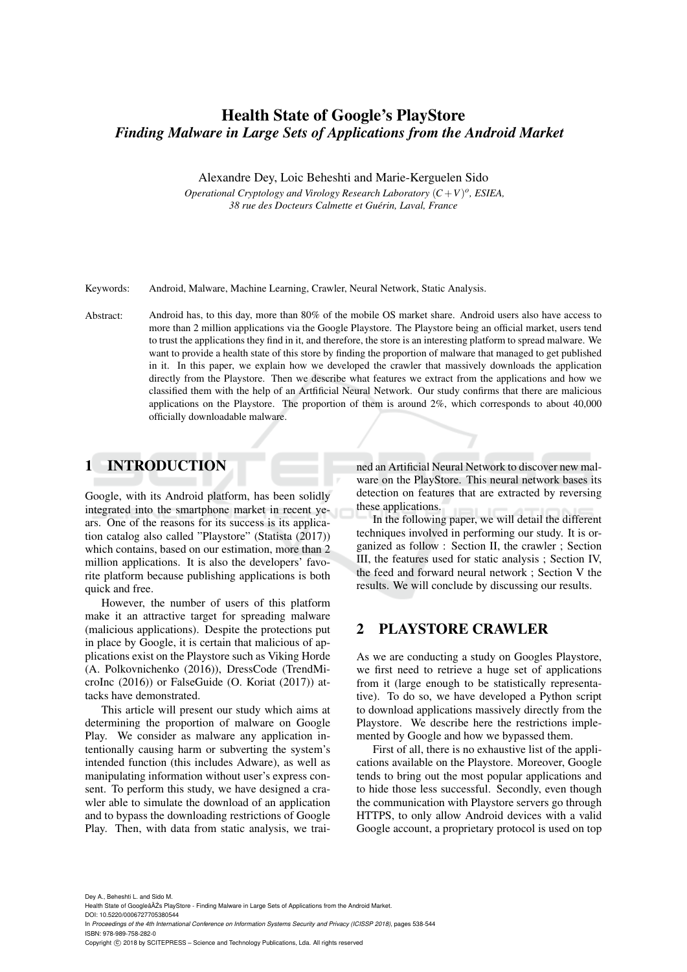# Health State of Google's PlayStore *Finding Malware in Large Sets of Applications from the Android Market*

Alexandre Dey, Loic Beheshti and Marie-Kerguelen Sido

*Operational Cryptology and Virology Research Laboratory*  $(C + V)^o$ , *ESIEA*, *38 rue des Docteurs Calmette et Guerin, Laval, France ´*

Keywords: Android, Malware, Machine Learning, Crawler, Neural Network, Static Analysis.

Abstract: Android has, to this day, more than 80% of the mobile OS market share. Android users also have access to more than 2 million applications via the Google Playstore. The Playstore being an official market, users tend to trust the applications they find in it, and therefore, the store is an interesting platform to spread malware. We want to provide a health state of this store by finding the proportion of malware that managed to get published in it. In this paper, we explain how we developed the crawler that massively downloads the application directly from the Playstore. Then we describe what features we extract from the applications and how we classified them with the help of an Artfificial Neural Network. Our study confirms that there are malicious applications on the Playstore. The proportion of them is around 2%, which corresponds to about 40,000 officially downloadable malware.

# 1 INTRODUCTION

Google, with its Android platform, has been solidly integrated into the smartphone market in recent years. One of the reasons for its success is its application catalog also called "Playstore" (Statista (2017)) which contains, based on our estimation, more than 2 million applications. It is also the developers' favorite platform because publishing applications is both quick and free.

However, the number of users of this platform make it an attractive target for spreading malware (malicious applications). Despite the protections put in place by Google, it is certain that malicious of applications exist on the Playstore such as Viking Horde (A. Polkovnichenko (2016)), DressCode (TrendMicroInc (2016)) or FalseGuide (O. Koriat (2017)) attacks have demonstrated.

This article will present our study which aims at determining the proportion of malware on Google Play. We consider as malware any application intentionally causing harm or subverting the system's intended function (this includes Adware), as well as manipulating information without user's express consent. To perform this study, we have designed a crawler able to simulate the download of an application and to bypass the downloading restrictions of Google Play. Then, with data from static analysis, we trained an Artificial Neural Network to discover new malware on the PlayStore. This neural network bases its detection on features that are extracted by reversing these applications.

In the following paper, we will detail the different techniques involved in performing our study. It is organized as follow : Section II, the crawler ; Section III, the features used for static analysis ; Section IV, the feed and forward neural network ; Section V the results. We will conclude by discussing our results.

# 2 PLAYSTORE CRAWLER

As we are conducting a study on Googles Playstore, we first need to retrieve a huge set of applications from it (large enough to be statistically representative). To do so, we have developed a Python script to download applications massively directly from the Playstore. We describe here the restrictions implemented by Google and how we bypassed them.

First of all, there is no exhaustive list of the applications available on the Playstore. Moreover, Google tends to bring out the most popular applications and to hide those less successful. Secondly, even though the communication with Playstore servers go through HTTPS, to only allow Android devices with a valid Google account, a proprietary protocol is used on top

Dey A., Beheshti L. and Sido M.

Health State of Googleâ AZs PlayStore - Finding Malware in Large Sets of Applications from the Android Market

DOI: 10.5220/0006727705380544

Copyright © 2018 by SCITEPRESS - Science and Technology Publications, Lda. All rights reserved

In *Proceedings of the 4th International Conference on Information Systems Security and Privacy (ICISSP 2018)*, pages 538-544 ISBN: 978-989-758-282-0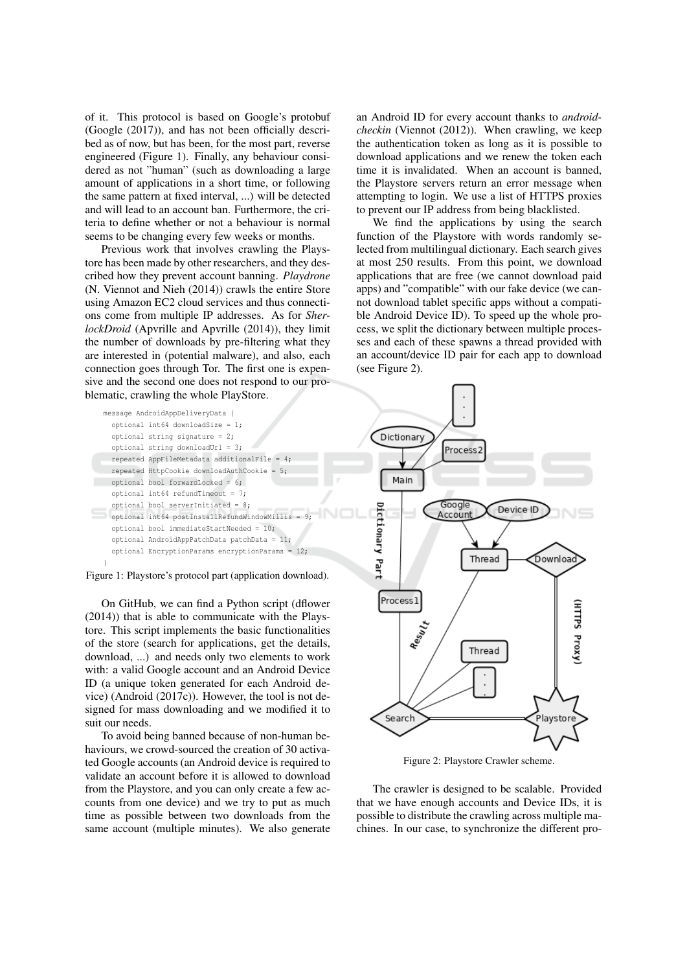of it. This protocol is based on Google's protobuf (Google (2017)), and has not been officially described as of now, but has been, for the most part, reverse engineered (Figure 1). Finally, any behaviour considered as not "human" (such as downloading a large amount of applications in a short time, or following the same pattern at fixed interval, ...) will be detected and will lead to an account ban. Furthermore, the criteria to define whether or not a behaviour is normal seems to be changing every few weeks or months.

Previous work that involves crawling the Playstore has been made by other researchers, and they described how they prevent account banning. Playdrone (N. Viennot and Nieh (2014)) crawls the entire Store using Amazon EC2 cloud services and thus connections come from multiple IP addresses. As for SherlockDroid (Apvrille and Apvrille (2014)), they limit the number of downloads by pre-filtering what they are interested in (potential malware), and also, each connection goes through Tor. The first one is expensive and the second one does not respond to our problematic, crawling the whole PlayStore.

message AndroidAppDeliveryData { optional int64 downloadSize =  $1$ ; optional string signature =  $2$ ; optional string downloadUrl =  $3;$ repeated AppFileMetadata additionalFile =  $4;$ repeated HttpCookie downloadAuthCookie =  $5:$ optional bool forwardLocked = 6;  $\text{optional}$  int64 refundTimeout = 7: optional bool serverInitiated = 8; optional int64 postInstallRefundWindowMillis =  $9$ ; optional bool immediateStartNeeded = 10; optional AndroidAppPatchData patchData = 11; optional EncryptionParams encryptionParams =  $12$ ;

Figure 1: Playstore's protocol part (application download).

On GitHub, we can find a Python script (dflower (2014)) that is able to communicate with the Playstore. This script implements the basic functionalities of the store (search for applications, get the details, download, ...) and needs only two elements to work with: a valid Google account and an Android Device ID (a unique token generated for each Android device) (Android  $(2017c)$ ). However, the tool is not designed for mass downloading and we modified it to suit our needs.

To avoid being banned because of non-human behaviours, we crowd-sourced the creation of 30 activated Google accounts (an Android device is required to validate an account before it is allowed to download from the Playstore, and you can only create a few accounts from one device) and we try to put as much time as possible between two downloads from the same account (multiple minutes). We also generate

an Android ID for every account thanks to androidcheckin (Viennot (2012)). When crawling, we keep the authentication token as long as it is possible to download applications and we renew the token each time it is invalidated. When an account is banned, the Playstore servers return an error message when attempting to login. We use a list of HTTPS proxies to prevent our IP address from being blacklisted.

We find the applications by using the search function of the Playstore with words randomly selected from multilingual dictionary. Each search gives at most 250 results. From this point, we download applications that are free (we cannot download paid apps) and "compatible" with our fake device (we cannot download tablet specific apps without a compatible Android Device ID). To speed up the whole process, we split the dictionary between multiple processes and each of these spawns a thread provided with an account/device ID pair for each app to download (see Figure 2).



Figure 2: Playstore Crawler scheme.

The crawler is designed to be scalable. Provided that we have enough accounts and Device IDs, it is possible to distribute the crawling across multiple machines. In our case, to synchronize the different pro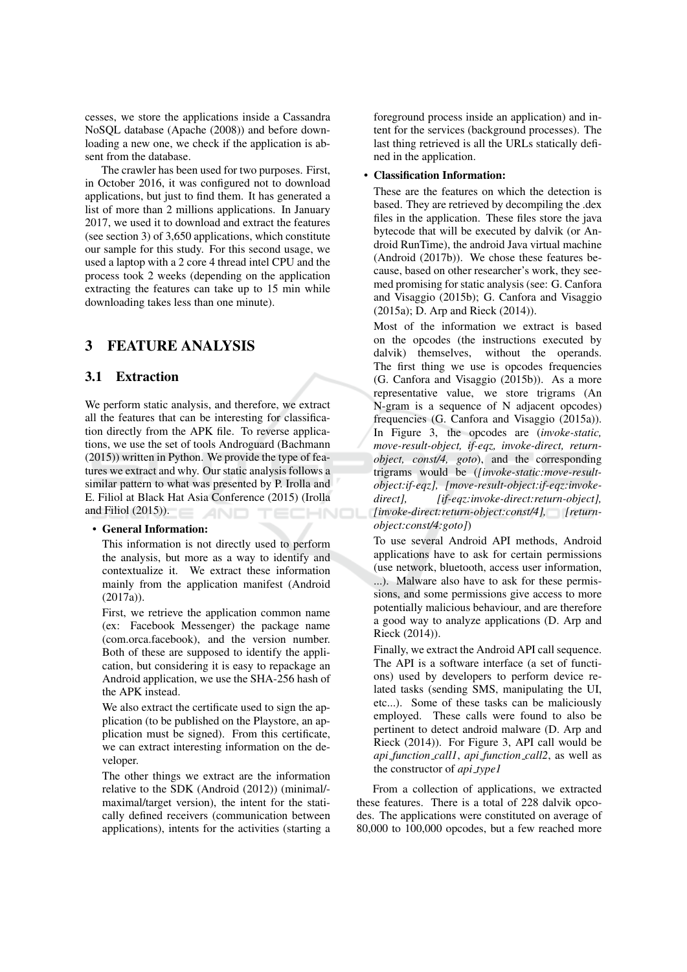cesses, we store the applications inside a Cassandra NoSQL database (Apache (2008)) and before downloading a new one, we check if the application is absent from the database.

The crawler has been used for two purposes. First, in October 2016, it was configured not to download applications, but just to find them. It has generated a list of more than 2 millions applications. In January 2017, we used it to download and extract the features (see section 3) of 3,650 applications, which constitute our sample for this study. For this second usage, we used a laptop with a 2 core 4 thread intel CPU and the process took 2 weeks (depending on the application extracting the features can take up to 15 min while downloading takes less than one minute).

### 3 **FEATURE ANALYSIS**

#### **Extraction**  $3.1$

We perform static analysis, and therefore, we extract all the features that can be interesting for classification directly from the APK file. To reverse applications, we use the set of tools Androguard (Bachmann (2015)) written in Python. We provide the type of features we extract and why. Our static analysis follows a similar pattern to what was presented by P. Irolla and E. Filiol at Black Hat Asia Conference (2015) (Irolla and Filiol  $(2015)$ ). AND **ECHNOL** 

## • General Information:

This information is not directly used to perform the analysis, but more as a way to identify and contextualize it. We extract these information mainly from the application manifest (Android  $(2017a)$ ).

First, we retrieve the application common name (ex: Facebook Messenger) the package name (com.orca.facebook), and the version number. Both of these are supposed to identify the application, but considering it is easy to repackage an Android application, we use the SHA-256 hash of the APK instead.

We also extract the certificate used to sign the application (to be published on the Playstore, an application must be signed). From this certificate, we can extract interesting information on the developer.

The other things we extract are the information relative to the SDK (Android (2012)) (minimal/maximal/target version), the intent for the statically defined receivers (communication between applications), intents for the activities (starting a foreground process inside an application) and intent for the services (background processes). The last thing retrieved is all the URLs statically defined in the application.

### • Classification Information:

These are the features on which the detection is based. They are retrieved by decompiling the .dex files in the application. These files store the java bytecode that will be executed by dalvik (or Android RunTime), the android Java virtual machine (Android (2017b)). We chose these features because, based on other researcher's work, they seemed promising for static analysis (see: G. Canfora and Visaggio (2015b); G. Canfora and Visaggio  $(2015a)$ ; D. Arp and Rieck  $(2014)$ ).

Most of the information we extract is based on the opcodes (the instructions executed by dalvik) themselves, without the operands. The first thing we use is opcodes frequencies (G. Canfora and Visaggio (2015b)). As a more representative value, we store trigrams (An N-gram is a sequence of N adjacent opcodes) frequencies (G. Canfora and Visaggio (2015a)). In Figure 3, the opcodes are *(invoke-static,* move-result-object, if-eqz, invoke-direct, returnobject, const/4, goto), and the corresponding trigrams would be (*[invoke-static:move-result*object:if-eqz], [move-result-object:if-eqz:invokedirect], [if-eqz:invoke-direct:return-object], [invoke-direct:return-object:const/4], [return $object:const/4:goto)$ 

To use several Android API methods, Android applications have to ask for certain permissions (use network, bluetooth, access user information, ...). Malware also have to ask for these permissions, and some permissions give access to more potentially malicious behaviour, and are therefore a good way to analyze applications (D. Arp and Rieck (2014)).

Finally, we extract the Android API call sequence. The API is a software interface (a set of functions) used by developers to perform device related tasks (sending SMS, manipulating the UI, etc...). Some of these tasks can be maliciously employed. These calls were found to also be pertinent to detect android malware (D. Arp and Rieck (2014)). For Figure 3, API call would be api\_function\_call1, api\_function\_call2, as well as the constructor of *api\_type1* 

From a collection of applications, we extracted these features. There is a total of 228 dalvik opcodes. The applications were constituted on average of 80,000 to 100,000 opcodes, but a few reached more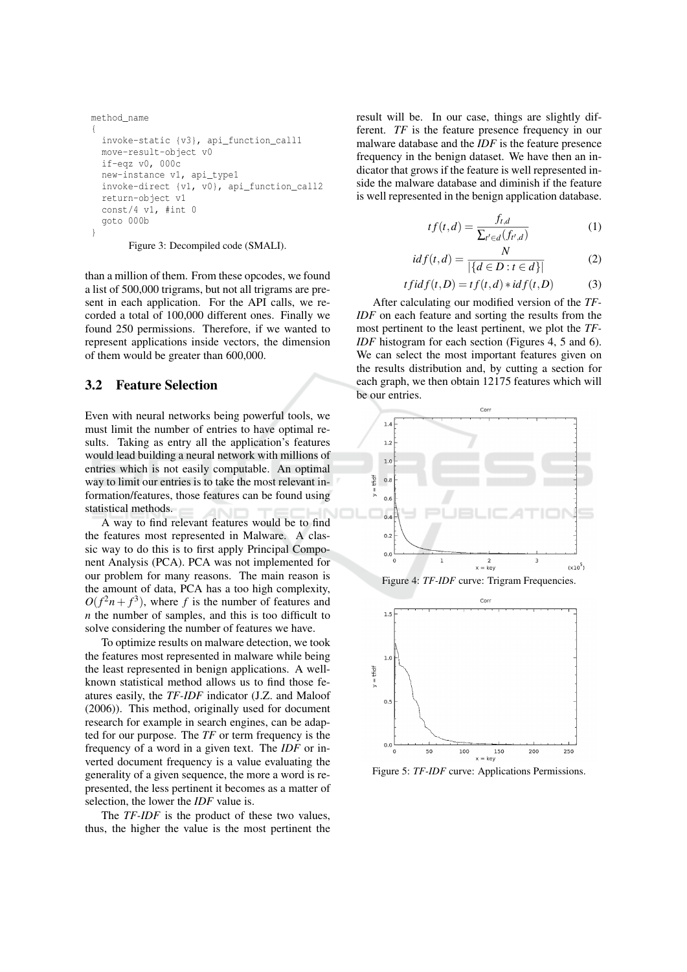```
method name
invoke-static {v3}, api_function_call1
move-result-object v0
if-eqz v0, 000c
new-instance v1, api_type1
invoke-direct {v1, v0}, api_function_call2
return-object v1
const/4 v1, #int 0goto 000b
```
Figure 3: Decompiled code (SMALI).

than a million of them. From these opcodes, we found a list of 500,000 trigrams, but not all trigrams are present in each application. For the API calls, we recorded a total of 100,000 different ones. Finally we found 250 permissions. Therefore, if we wanted to represent applications inside vectors, the dimension of them would be greater than 600,000.

#### $3.2$ **Feature Selection**

Even with neural networks being powerful tools, we must limit the number of entries to have optimal results. Taking as entry all the application's features would lead building a neural network with millions of entries which is not easily computable. An optimal way to limit our entries is to take the most relevant information/features, those features can be found using statistical methods.

A way to find relevant features would be to find the features most represented in Malware. A classic way to do this is to first apply Principal Component Analysis (PCA). PCA was not implemented for our problem for many reasons. The main reason is the amount of data, PCA has a too high complexity,  $O(f^2n+f^3)$ , where f is the number of features and  $n$  the number of samples, and this is too difficult to solve considering the number of features we have.

To optimize results on malware detection, we took the features most represented in malware while being the least represented in benign applications. A wellknown statistical method allows us to find those features easily, the TF-IDF indicator (J.Z. and Maloof (2006)). This method, originally used for document research for example in search engines, can be adapted for our purpose. The  $TF$  or term frequency is the frequency of a word in a given text. The *IDF* or inverted document frequency is a value evaluating the generality of a given sequence, the more a word is represented, the less pertinent it becomes as a matter of selection, the lower the IDF value is.

The TF-IDF is the product of these two values, thus, the higher the value is the most pertinent the result will be. In our case, things are slightly different. TF is the feature presence frequency in our malware database and the IDF is the feature presence frequency in the benign dataset. We have then an indicator that grows if the feature is well represented inside the malware database and diminish if the feature is well represented in the benign application database.

$$
tf(t,d) = \frac{f_{t,d}}{\sum_{t' \in d} (f_{t',d})}
$$
 (1)

$$
idf(t,d) = \frac{N}{|\{d \in D : t \in d\}|}
$$
 (2)

$$
tfidf(t,D) = tf(t,d) * idf(t,D)
$$
 (3)

After calculating our modified version of the TF-IDF on each feature and sorting the results from the most pertinent to the least pertinent, we plot the TF-*IDF* histogram for each section (Figures 4, 5 and 6). We can select the most important features given on the results distribution and, by cutting a section for each graph, we then obtain 12175 features which will be our entries.







Figure 5: TF-IDF curve: Applications Permissions.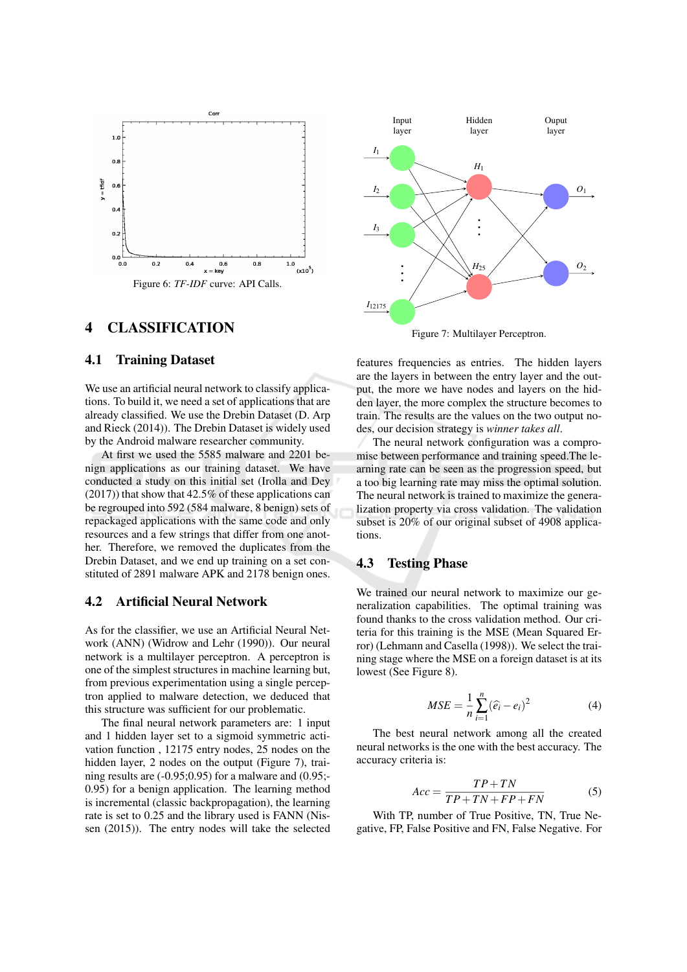

### **CLASSIFICATION**  $\boldsymbol{\Delta}$

#### 4.1 **Training Dataset**

We use an artificial neural network to classify applications. To build it, we need a set of applications that are already classified. We use the Drebin Dataset (D. Arp and Rieck (2014)). The Drebin Dataset is widely used by the Android malware researcher community.

At first we used the 5585 malware and 2201 benign applications as our training dataset. We have conducted a study on this initial set (Irolla and Dey)  $(2017)$ ) that show that 42.5% of these applications can be regrouped into 592 (584 malware, 8 benign) sets of repackaged applications with the same code and only resources and a few strings that differ from one another. Therefore, we removed the duplicates from the Drebin Dataset, and we end up training on a set constituted of 2891 malware APK and 2178 benign ones.

### $4.2$ **Artificial Neural Network**

As for the classifier, we use an Artificial Neural Network (ANN) (Widrow and Lehr (1990)). Our neural network is a multilayer perceptron. A perceptron is one of the simplest structures in machine learning but, from previous experimentation using a single perceptron applied to malware detection, we deduced that this structure was sufficient for our problematic.

The final neural network parameters are: 1 input and 1 hidden layer set to a sigmoid symmetric activation function, 12175 entry nodes, 25 nodes on the hidden layer, 2 nodes on the output (Figure 7), training results are  $(-0.95;0.95)$  for a malware and  $(0.95;$ 0.95) for a benign application. The learning method is incremental (classic backpropagation), the learning rate is set to 0.25 and the library used is FANN (Nissen (2015)). The entry nodes will take the selected



Figure 7: Multilayer Perceptron.

features frequencies as entries. The hidden layers are the layers in between the entry layer and the output, the more we have nodes and layers on the hidden layer, the more complex the structure becomes to train. The results are the values on the two output nodes, our decision strategy is winner takes all.

The neural network configuration was a compromise between performance and training speed. The learning rate can be seen as the progression speed, but a too big learning rate may miss the optimal solution. The neural network is trained to maximize the generalization property via cross validation. The validation subset is 20% of our original subset of 4908 applications.

#### 4.3 **Testing Phase**

We trained our neural network to maximize our generalization capabilities. The optimal training was found thanks to the cross validation method. Our criteria for this training is the MSE (Mean Squared Error) (Lehmann and Casella (1998)). We select the training stage where the MSE on a foreign dataset is at its lowest (See Figure 8).

$$
MSE = \frac{1}{n} \sum_{i=1}^{n} (\hat{e}_i - e_i)^2
$$
 (4)

The best neural network among all the created neural networks is the one with the best accuracy. The accuracy criteria is:

$$
Acc = \frac{TP + TN}{TP + TN + FP + FN}
$$
 (5)

With TP, number of True Positive, TN, True Negative, FP, False Positive and FN, False Negative. For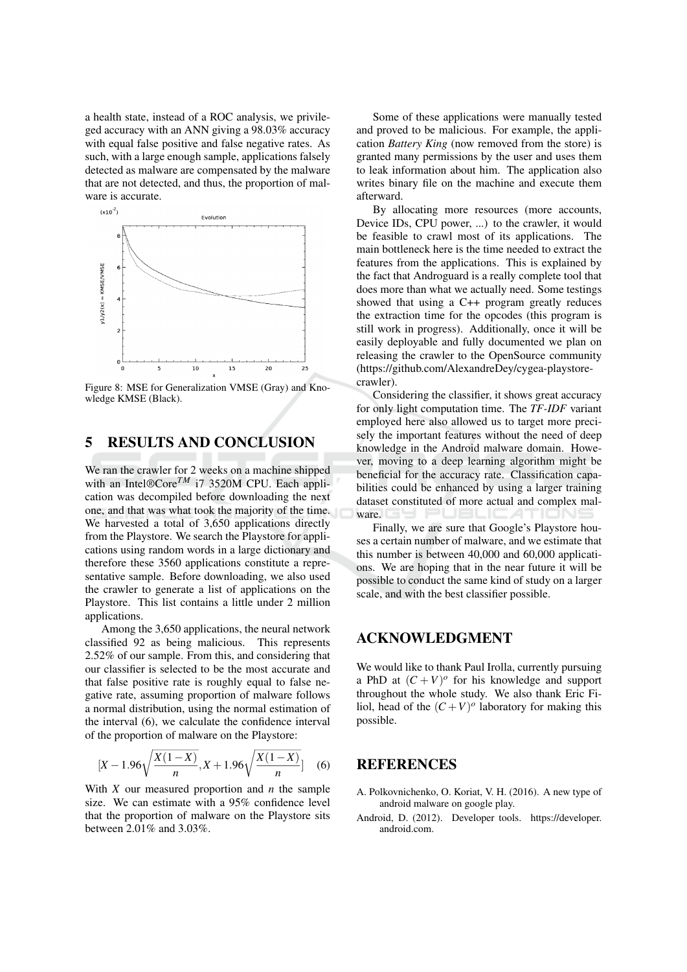a health state, instead of a ROC analysis, we privileged accuracy with an ANN giving a 98.03% accuracy with equal false positive and false negative rates. As such, with a large enough sample, applications falsely detected as malware are compensated by the malware that are not detected, and thus, the proportion of malware is accurate.



Figure 8: MSE for Generalization VMSE (Gray) and Knowledge KMSE (Black).

### 5 **RESULTS AND CONCLUSION**

We ran the crawler for 2 weeks on a machine shipped with an Intel®Core<sup>TM</sup> i7 3520M CPU. Each application was decompiled before downloading the next one, and that was what took the majority of the time. We harvested a total of 3,650 applications directly from the Playstore. We search the Playstore for applications using random words in a large dictionary and therefore these 3560 applications constitute a representative sample. Before downloading, we also used the crawler to generate a list of applications on the Playstore. This list contains a little under 2 million applications.

Among the 3,650 applications, the neural network classified 92 as being malicious. This represents 2.52% of our sample. From this, and considering that our classifier is selected to be the most accurate and that false positive rate is roughly equal to false negative rate, assuming proportion of malware follows a normal distribution, using the normal estimation of the interval (6), we calculate the confidence interval of the proportion of malware on the Playstore:

$$
[X-1.96\sqrt{\frac{X(1-X)}{n}}, X+1.96\sqrt{\frac{X(1-X)}{n}}] \quad (6)
$$

With  $X$  our measured proportion and  $n$  the sample size. We can estimate with a 95% confidence level that the proportion of malware on the Playstore sits between  $2.01\%$  and  $3.03\%$ .

Some of these applications were manually tested and proved to be malicious. For example, the application Battery King (now removed from the store) is granted many permissions by the user and uses them to leak information about him. The application also writes binary file on the machine and execute them afterward.

By allocating more resources (more accounts, Device IDs, CPU power, ...) to the crawler, it would be feasible to crawl most of its applications. The main bottleneck here is the time needed to extract the features from the applications. This is explained by the fact that Androguard is a really complete tool that does more than what we actually need. Some testings showed that using a C++ program greatly reduces the extraction time for the opcodes (this program is still work in progress). Additionally, once it will be easily deployable and fully documented we plan on releasing the crawler to the OpenSource community (https://github.com/AlexandreDey/cygea-playstorecrawler).

Considering the classifier, it shows great accuracy for only light computation time. The TF-IDF variant employed here also allowed us to target more precisely the important features without the need of deep knowledge in the Android malware domain. However, moving to a deep learning algorithm might be beneficial for the accuracy rate. Classification capabilities could be enhanced by using a larger training dataset constituted of more actual and complex malware. PUBLICAT

Finally, we are sure that Google's Playstore houses a certain number of malware, and we estimate that this number is between 40,000 and 60,000 applications. We are hoping that in the near future it will be possible to conduct the same kind of study on a larger scale, and with the best classifier possible.

## **ACKNOWLEDGMENT**

We would like to thank Paul Irolla, currently pursuing a PhD at  $(C + V)^{o}$  for his knowledge and support throughout the whole study. We also thank Eric Filiol, head of the  $(C+V)^{o}$  laboratory for making this possible.

# **REFERENCES**

- A. Polkovnichenko, O. Koriat, V. H. (2016). A new type of android malware on google play.
- Android, D. (2012). Developer tools. https://developer. android.com.